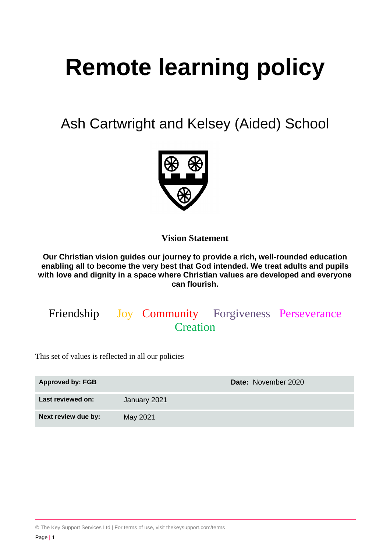# **Remote learning policy**

Ash Cartwright and Kelsey (Aided) School



**Vision Statement**

**Our Christian vision guides our journey to provide a rich, well-rounded education enabling all to become the very best that God intended. We treat adults and pupils with love and dignity in a space where Christian values are developed and everyone can flourish.**

# Friendship Joy Community Forgiveness Perseverance **Creation**

This set of values is reflected in all our policies

| <b>Approved by: FGB</b> | Date: November 2020 |  |
|-------------------------|---------------------|--|
| Last reviewed on:       | January 2021        |  |
| Next review due by:     | May 2021            |  |

© The Key Support Services Ltd | For terms of use, visit [thekeysupport.com/terms](https://thekeysupport.com/terms-of-use)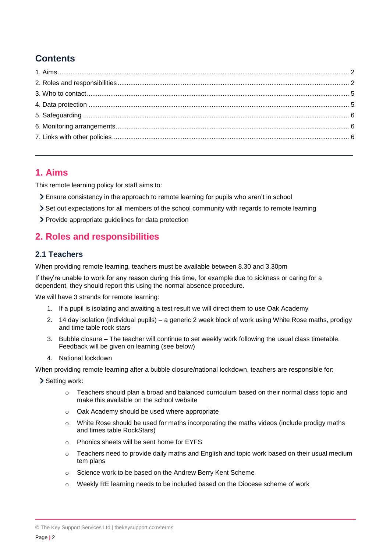# **Contents**

# <span id="page-1-0"></span>**1. Aims**

This remote learning policy for staff aims to:

- Ensure consistency in the approach to remote learning for pupils who aren't in school
- Set out expectations for all members of the school community with regards to remote learning
- > Provide appropriate guidelines for data protection

# <span id="page-1-1"></span>**2. Roles and responsibilities**

#### **2.1 Teachers**

When providing remote learning, teachers must be available between 8.30 and 3.30pm

If they're unable to work for any reason during this time, for example due to sickness or caring for a dependent, they should report this using the normal absence procedure.

We will have 3 strands for remote learning:

- 1. If a pupil is isolating and awaiting a test result we will direct them to use Oak Academy
- 2. 14 day isolation (individual pupils) a generic 2 week block of work using White Rose maths, prodigy and time table rock stars
- 3. Bubble closure The teacher will continue to set weekly work following the usual class timetable. Feedback will be given on learning (see below)
- 4. National lockdown

When providing remote learning after a bubble closure/national lockdown, teachers are responsible for:

> Setting work:

- $\circ$  Teachers should plan a broad and balanced curriculum based on their normal class topic and make this available on the school website
- o Oak Academy should be used where appropriate
- $\circ$  White Rose should be used for maths incorporating the maths videos (include prodigy maths and times table RockStars)
- o Phonics sheets will be sent home for EYFS
- $\circ$  Teachers need to provide daily maths and English and topic work based on their usual medium tem plans
- o Science work to be based on the Andrew Berry Kent Scheme
- o Weekly RE learning needs to be included based on the Diocese scheme of work

© The Key Support Services Ltd | [thekeysupport.com/terms](https://thekeysupport.com/terms-of-use)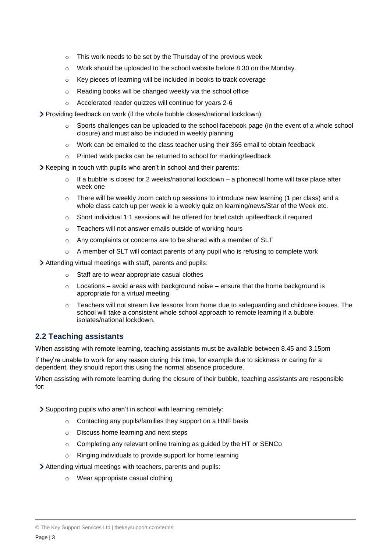- o This work needs to be set by the Thursday of the previous week
- o Work should be uploaded to the school website before 8.30 on the Monday.
- o Key pieces of learning will be included in books to track coverage
- o Reading books will be changed weekly via the school office
- o Accelerated reader quizzes will continue for years 2-6
- Providing feedback on work (if the whole bubble closes/national lockdown):
	- o Sports challenges can be uploaded to the school facebook page (in the event of a whole school closure) and must also be included in weekly planning
	- o Work can be emailed to the class teacher using their 365 email to obtain feedback
	- o Printed work packs can be returned to school for marking/feedback

Keeping in touch with pupils who aren't in school and their parents:

- $\circ$  If a bubble is closed for 2 weeks/national lockdown a phonecall home will take place after week one
- There will be weekly zoom catch up sessions to introduce new learning (1 per class) and a whole class catch up per week ie a weekly quiz on learning/news/Star of the Week etc.
- $\circ$  Short individual 1:1 sessions will be offered for brief catch up/feedback if required
- o Teachers will not answer emails outside of working hours
- o Any complaints or concerns are to be shared with a member of SLT
- $\circ$  A member of SLT will contact parents of any pupil who is refusing to complete work

Attending virtual meetings with staff, parents and pupils:

- o Staff are to wear appropriate casual clothes
- $\circ$  Locations avoid areas with background noise ensure that the home background is appropriate for a virtual meeting
- o Teachers will not stream live lessons from home due to safeguarding and childcare issues. The school will take a consistent whole school approach to remote learning if a bubble isolates/national lockdown.

#### **2.2 Teaching assistants**

When assisting with remote learning, teaching assistants must be available between 8.45 and 3.15pm

If they're unable to work for any reason during this time, for example due to sickness or caring for a dependent, they should report this using the normal absence procedure.

When assisting with remote learning during the closure of their bubble, teaching assistants are responsible for:

Supporting pupils who aren't in school with learning remotely:

- o Contacting any pupils/families they support on a HNF basis
- o Discuss home learning and next steps
- o Completing any relevant online training as guided by the HT or SENCo
- o Ringing individuals to provide support for home learning

Attending virtual meetings with teachers, parents and pupils:

o Wear appropriate casual clothing

© The Key Support Services Ltd | [thekeysupport.com/terms](https://thekeysupport.com/terms-of-use)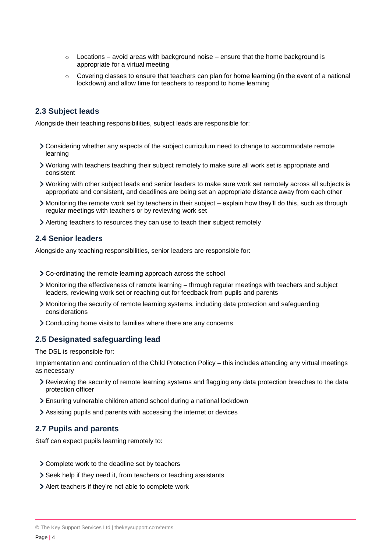- $\circ$  Locations avoid areas with background noise ensure that the home background is appropriate for a virtual meeting
- $\circ$  Covering classes to ensure that teachers can plan for home learning (in the event of a national lockdown) and allow time for teachers to respond to home learning

#### **2.3 Subject leads**

Alongside their teaching responsibilities, subject leads are responsible for:

- Considering whether any aspects of the subject curriculum need to change to accommodate remote learning
- Working with teachers teaching their subject remotely to make sure all work set is appropriate and consistent
- Working with other subject leads and senior leaders to make sure work set remotely across all subjects is appropriate and consistent, and deadlines are being set an appropriate distance away from each other
- Monitoring the remote work set by teachers in their subject explain how they'll do this, such as through regular meetings with teachers or by reviewing work set
- Alerting teachers to resources they can use to teach their subject remotely

#### **2.4 Senior leaders**

Alongside any teaching responsibilities, senior leaders are responsible for:

- Co-ordinating the remote learning approach across the school
- Monitoring the effectiveness of remote learning through regular meetings with teachers and subject leaders, reviewing work set or reaching out for feedback from pupils and parents
- Monitoring the security of remote learning systems, including data protection and safeguarding considerations
- Conducting home visits to families where there are any concerns

#### **2.5 Designated safeguarding lead**

The DSL is responsible for:

Implementation and continuation of the Child Protection Policy – this includes attending any virtual meetings as necessary

- Reviewing the security of remote learning systems and flagging any data protection breaches to the data protection officer
- Ensuring vulnerable children attend school during a national lockdown
- Assisting pupils and parents with accessing the internet or devices

#### **2.7 Pupils and parents**

Staff can expect pupils learning remotely to:

- > Complete work to the deadline set by teachers
- Seek help if they need it, from teachers or teaching assistants
- Alert teachers if they're not able to complete work

<sup>©</sup> The Key Support Services Ltd | [thekeysupport.com/terms](https://thekeysupport.com/terms-of-use)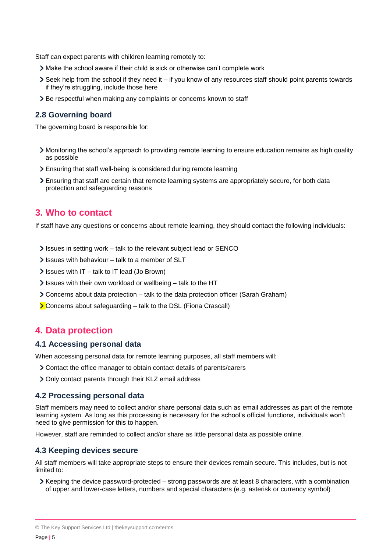Staff can expect parents with children learning remotely to:

- Make the school aware if their child is sick or otherwise can't complete work
- Seek help from the school if they need it if you know of any resources staff should point parents towards if they're struggling, include those here
- > Be respectful when making any complaints or concerns known to staff

#### **2.8 Governing board**

The governing board is responsible for:

- Monitoring the school's approach to providing remote learning to ensure education remains as high quality as possible
- Ensuring that staff well-being is considered during remote learning
- Ensuring that staff are certain that remote learning systems are appropriately secure, for both data protection and safeguarding reasons

#### <span id="page-4-0"></span>**3. Who to contact**

If staff have any questions or concerns about remote learning, they should contact the following individuals:

- Issues in setting work talk to the relevant subject lead or SENCO
- $\blacktriangleright$  Issues with behaviour talk to a member of SLT
- $\ge$  Issues with IT talk to IT lead (Jo Brown)
- $\ge$  Issues with their own workload or wellbeing talk to the HT
- Concerns about data protection talk to the data protection officer (Sarah Graham)
- **>** Concerns about safeguarding talk to the DSL (Fiona Crascall)

#### <span id="page-4-1"></span>**4. Data protection**

#### **4.1 Accessing personal data**

When accessing personal data for remote learning purposes, all staff members will:

- Contact the office manager to obtain contact details of parents/carers
- > Only contact parents through their KLZ email address

#### **4.2 Processing personal data**

Staff members may need to collect and/or share personal data such as email addresses as part of the remote learning system. As long as this processing is necessary for the school's official functions, individuals won't need to give permission for this to happen.

However, staff are reminded to collect and/or share as little personal data as possible online.

#### **4.3 Keeping devices secure**

All staff members will take appropriate steps to ensure their devices remain secure. This includes, but is not limited to:

 $\triangleright$  Keeping the device password-protected – strong passwords are at least 8 characters, with a combination of upper and lower-case letters, numbers and special characters (e.g. asterisk or currency symbol)